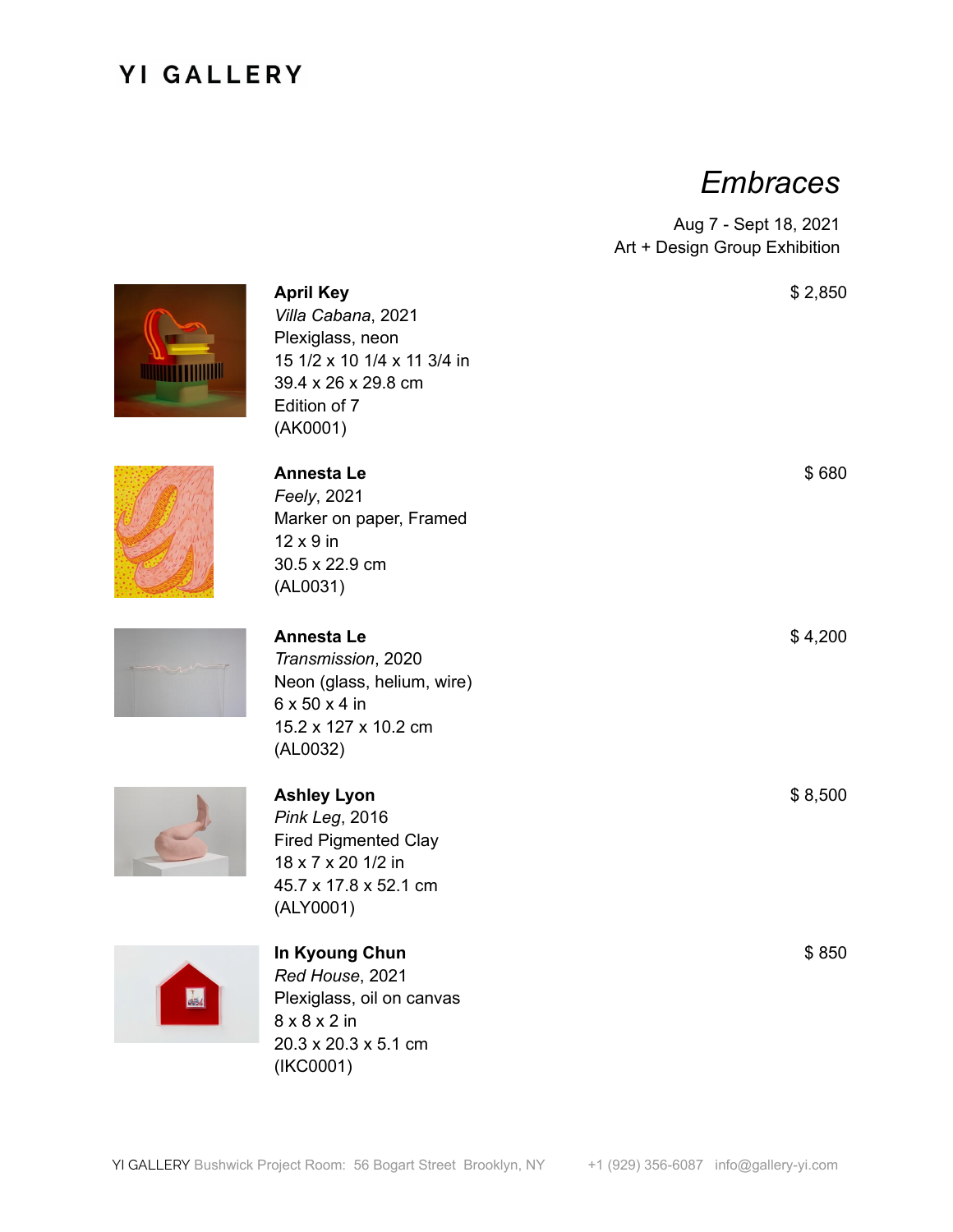## **YI GALLERY**

## *Embraces*

Aug 7 - Sept 18, 2021 Art + Design Group Exhibition